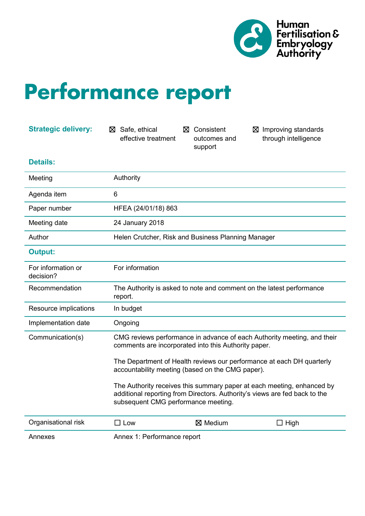

## **Performance report**

| <b>Strategic delivery:</b>      | Safe, ethical<br>⊠<br>effective treatment                                                                                                                                                                                                                                                                                                                                                                                                                   | ⊠ Consistent<br>outcomes and<br>support | $\boxtimes$ Improving standards<br>through intelligence |
|---------------------------------|-------------------------------------------------------------------------------------------------------------------------------------------------------------------------------------------------------------------------------------------------------------------------------------------------------------------------------------------------------------------------------------------------------------------------------------------------------------|-----------------------------------------|---------------------------------------------------------|
| <b>Details:</b>                 |                                                                                                                                                                                                                                                                                                                                                                                                                                                             |                                         |                                                         |
| Meeting                         | Authority                                                                                                                                                                                                                                                                                                                                                                                                                                                   |                                         |                                                         |
| Agenda item                     | $6\phantom{1}$                                                                                                                                                                                                                                                                                                                                                                                                                                              |                                         |                                                         |
| Paper number                    | HFEA (24/01/18) 863                                                                                                                                                                                                                                                                                                                                                                                                                                         |                                         |                                                         |
| Meeting date                    | 24 January 2018                                                                                                                                                                                                                                                                                                                                                                                                                                             |                                         |                                                         |
| Author                          | Helen Crutcher, Risk and Business Planning Manager                                                                                                                                                                                                                                                                                                                                                                                                          |                                         |                                                         |
| <b>Output:</b>                  |                                                                                                                                                                                                                                                                                                                                                                                                                                                             |                                         |                                                         |
| For information or<br>decision? | For information                                                                                                                                                                                                                                                                                                                                                                                                                                             |                                         |                                                         |
| Recommendation                  | The Authority is asked to note and comment on the latest performance<br>report.                                                                                                                                                                                                                                                                                                                                                                             |                                         |                                                         |
| Resource implications           | In budget                                                                                                                                                                                                                                                                                                                                                                                                                                                   |                                         |                                                         |
| Implementation date             | Ongoing                                                                                                                                                                                                                                                                                                                                                                                                                                                     |                                         |                                                         |
| Communication(s)                | CMG reviews performance in advance of each Authority meeting, and their<br>comments are incorporated into this Authority paper.<br>The Department of Health reviews our performance at each DH quarterly<br>accountability meeting (based on the CMG paper).<br>The Authority receives this summary paper at each meeting, enhanced by<br>additional reporting from Directors. Authority's views are fed back to the<br>subsequent CMG performance meeting. |                                         |                                                         |
|                                 |                                                                                                                                                                                                                                                                                                                                                                                                                                                             |                                         |                                                         |
|                                 |                                                                                                                                                                                                                                                                                                                                                                                                                                                             |                                         |                                                         |
| Organisational risk             | $\Box$ Low                                                                                                                                                                                                                                                                                                                                                                                                                                                  | $\boxtimes$ Medium                      | $\Box$ High                                             |
| Annexes                         | Annex 1: Performance report                                                                                                                                                                                                                                                                                                                                                                                                                                 |                                         |                                                         |